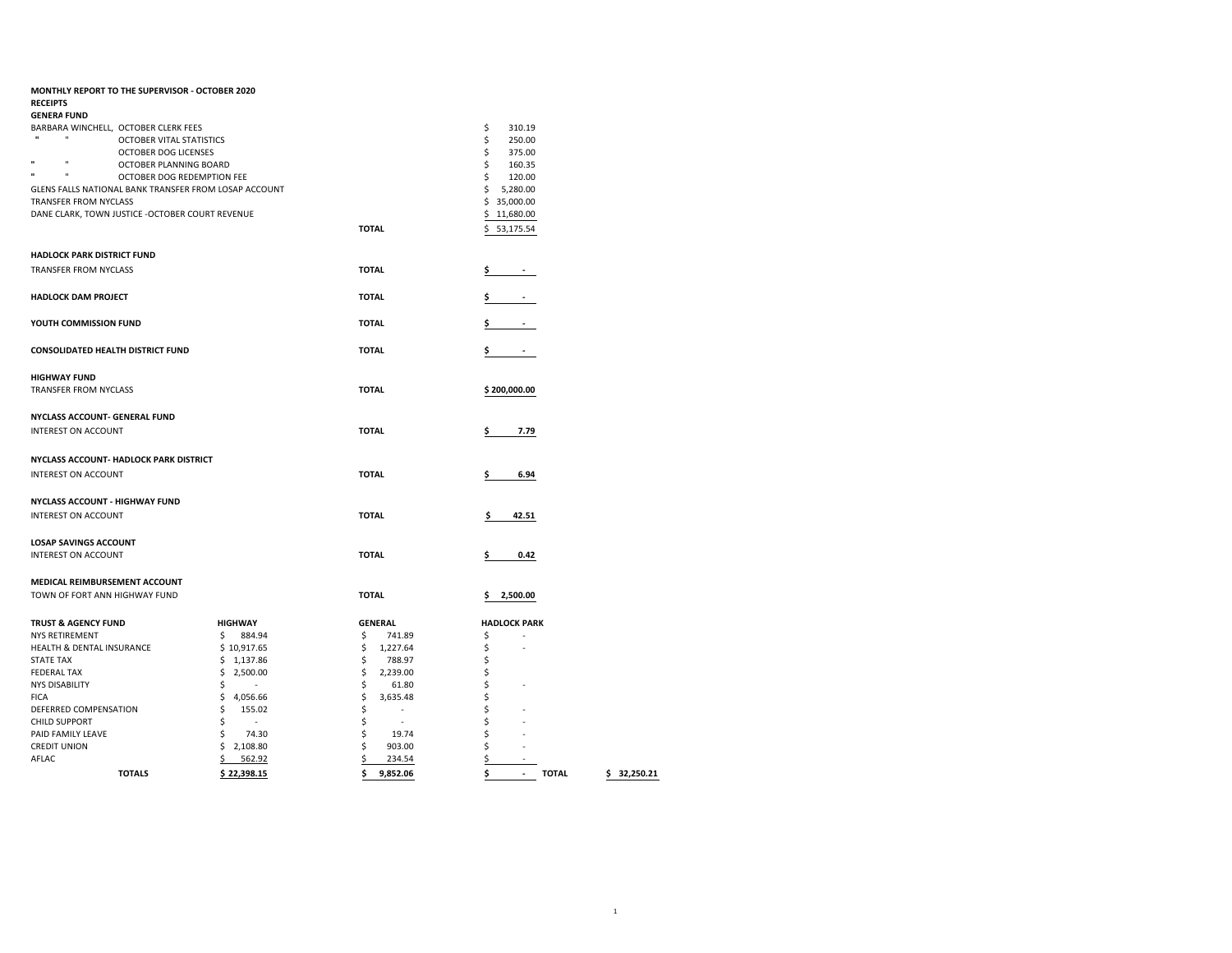|                                        | MONTHLY REPORT TO THE SUPERVISOR - OCTOBER 2020       |                          |                               |                                      |
|----------------------------------------|-------------------------------------------------------|--------------------------|-------------------------------|--------------------------------------|
| <b>RECEIPTS</b>                        |                                                       |                          |                               |                                      |
| <b>GENERA FUND</b>                     |                                                       |                          |                               |                                      |
| BARBARA WINCHELL, OCTOBER CLERK FEES   |                                                       |                          |                               | \$<br>310.19                         |
| $\mathbf{u}$<br>$\mathbf{u}$           | OCTOBER VITAL STATISTICS                              |                          |                               | \$<br>250.00                         |
|                                        | OCTOBER DOG LICENSES                                  |                          |                               | \$<br>375.00                         |
| $\mathbf{u}$<br>$\mathbf{u}$           | OCTOBER PLANNING BOARD                                |                          |                               | \$<br>160.35                         |
| $\mathbf{u}$<br>$\mathbf{u}$           | OCTOBER DOG REDEMPTION FEE                            |                          |                               | \$<br>120.00                         |
|                                        | GLENS FALLS NATIONAL BANK TRANSFER FROM LOSAP ACCOUNT |                          |                               | \$<br>5,280.00                       |
| TRANSFER FROM NYCLASS                  |                                                       |                          |                               | \$35,000.00                          |
|                                        | DANE CLARK, TOWN JUSTICE -OCTOBER COURT REVENUE       |                          |                               | \$11,680.00                          |
|                                        |                                                       |                          | <b>TOTAL</b>                  | 53,175.54<br>\$.                     |
| <b>HADLOCK PARK DISTRICT FUND</b>      |                                                       |                          |                               |                                      |
| <b>TRANSFER FROM NYCLASS</b>           |                                                       |                          | <b>TOTAL</b>                  | \$<br>$\sim$                         |
|                                        |                                                       |                          |                               |                                      |
| <b>HADLOCK DAM PROJECT</b>             |                                                       |                          | <b>TOTAL</b>                  | \$                                   |
|                                        |                                                       |                          |                               |                                      |
| YOUTH COMMISSION FUND                  |                                                       |                          | <b>TOTAL</b>                  | \$<br>$\blacksquare$                 |
| CONSOLIDATED HEALTH DISTRICT FUND      |                                                       |                          | <b>TOTAL</b>                  | \$<br>$\blacksquare$                 |
|                                        |                                                       |                          |                               |                                      |
| <b>HIGHWAY FUND</b>                    |                                                       |                          |                               |                                      |
| TRANSFER FROM NYCLASS                  |                                                       |                          | <b>TOTAL</b>                  | \$200,000.00                         |
|                                        |                                                       |                          |                               |                                      |
| NYCLASS ACCOUNT- GENERAL FUND          |                                                       |                          |                               |                                      |
| INTEREST ON ACCOUNT                    |                                                       |                          | <b>TOTAL</b>                  | \$<br>7.79                           |
|                                        |                                                       |                          |                               |                                      |
|                                        | NYCLASS ACCOUNT- HADLOCK PARK DISTRICT                |                          |                               |                                      |
| INTEREST ON ACCOUNT                    |                                                       |                          | <b>TOTAL</b>                  | \$<br>6.94                           |
|                                        |                                                       |                          |                               |                                      |
| NYCLASS ACCOUNT - HIGHWAY FUND         |                                                       |                          |                               |                                      |
| <b>INTEREST ON ACCOUNT</b>             |                                                       |                          | <b>TOTAL</b>                  | 42.51<br>\$.                         |
|                                        |                                                       |                          |                               |                                      |
| <b>LOSAP SAVINGS ACCOUNT</b>           |                                                       |                          |                               |                                      |
| INTEREST ON ACCOUNT                    |                                                       |                          | <b>TOTAL</b>                  | \$<br>0.42                           |
|                                        |                                                       |                          |                               |                                      |
| MEDICAL REIMBURSEMENT ACCOUNT          |                                                       |                          |                               |                                      |
| TOWN OF FORT ANN HIGHWAY FUND          |                                                       |                          | <b>TOTAL</b>                  | 2,500.00<br>\$                       |
|                                        |                                                       |                          |                               |                                      |
| <b>TRUST &amp; AGENCY FUND</b>         |                                                       | <b>HIGHWAY</b>           | <b>GENERAL</b>                | <b>HADLOCK PARK</b>                  |
| <b>NYS RETIREMENT</b>                  |                                                       | \$<br>884.94             | \$<br>741.89                  | \$                                   |
| HEALTH & DENTAL INSURANCE              |                                                       | \$10,917.65              | \$<br>1,227.64                | \$                                   |
| <b>STATE TAX</b><br><b>FEDERAL TAX</b> |                                                       | \$<br>1,137.86           | \$<br>788.97<br>2,239.00      | \$<br>\$                             |
|                                        |                                                       | \$<br>2,500.00<br>$\sim$ | \$                            |                                      |
| <b>NYS DISABILITY</b><br><b>FICA</b>   |                                                       | \$<br>\$<br>4,056.66     | \$<br>61.80<br>\$<br>3,635.48 | \$<br>\$                             |
| DEFERRED COMPENSATION                  |                                                       | \$<br>155.02             | \$<br>$\sim$                  | \$                                   |
| <b>CHILD SUPPORT</b>                   |                                                       | \$<br>$\sim$             | \$<br>$\sim$                  | \$                                   |
| PAID FAMILY LEAVE                      |                                                       | \$<br>74.30              | \$<br>19.74                   | \$                                   |
| <b>CREDIT UNION</b>                    |                                                       | \$2,108.80               | \$<br>903.00                  | \$                                   |
| AFLAC                                  |                                                       | \$<br>562.92             | \$<br>234.54                  | \$                                   |
|                                        | <b>TOTALS</b>                                         | \$22,398.15              | \$<br>9,852.06                | \$<br><b>TOTAL</b><br>$\blacksquare$ |
|                                        |                                                       |                          |                               | \$32,250.21                          |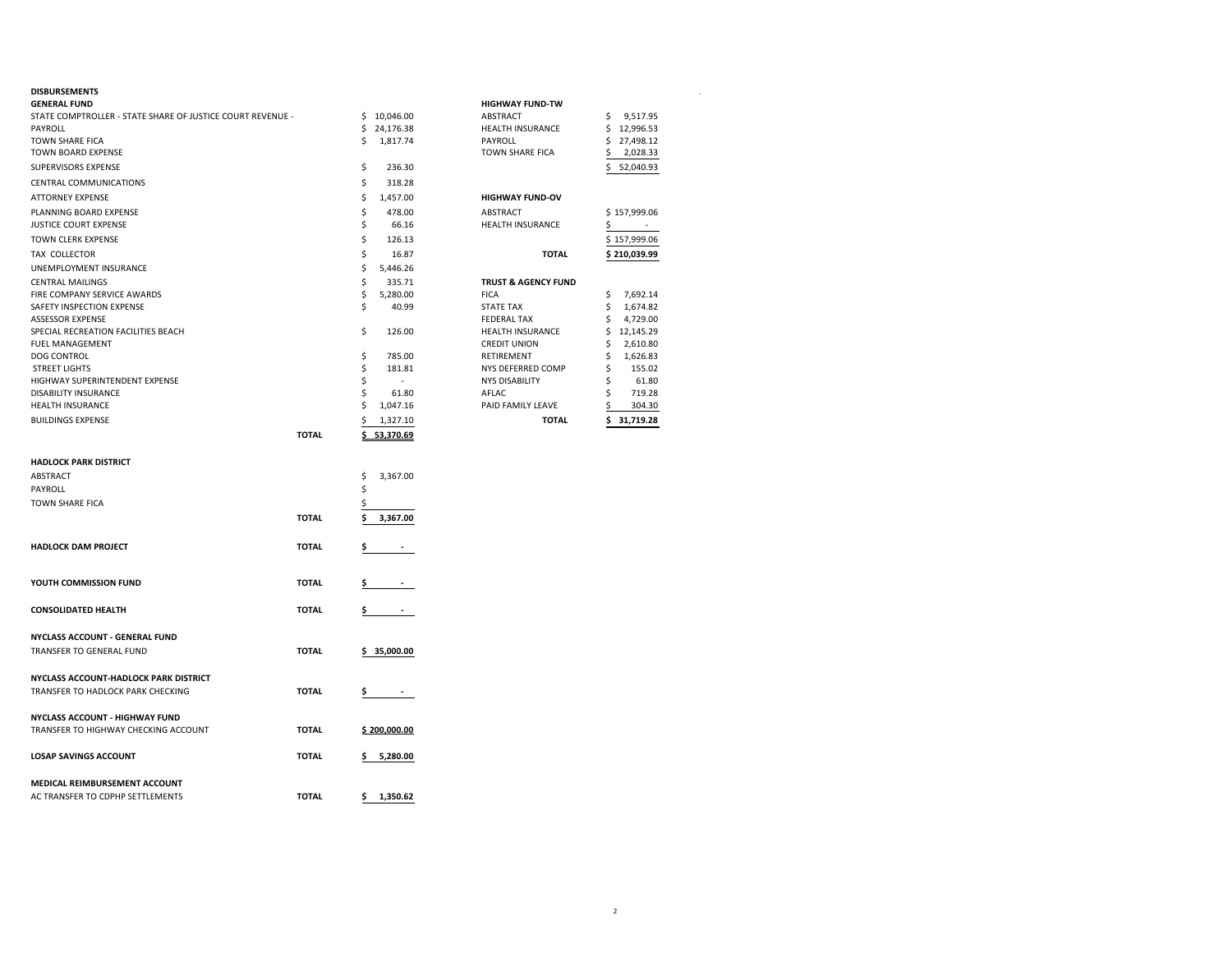| <b>DISBURSEMENTS</b><br><b>GENERAL FUND</b><br>STATE COMPTROLLER - STATE SHARE OF JUSTICE COURT REVENUE -<br>PAYROLL<br>TOWN SHARE FICA<br>TOWN BOARD EXPENSE<br>SUPERVISORS EXPENSE<br>CENTRAL COMMUNICATIONS<br><b>ATTORNEY EXPENSE</b><br>PLANNING BOARD EXPENSE<br>JUSTICE COURT EXPENSE<br>TOWN CLERK EXPENSE<br>TAX COLLECTOR<br>UNEMPLOYMENT INSURANCE<br><b>CENTRAL MAILINGS</b><br>FIRE COMPANY SERVICE AWARDS<br>SAFETY INSPECTION EXPENSE<br>ASSESSOR EXPENSE |              | \$<br>\$<br>\$<br>\$<br>\$<br>\$<br>\$<br>\$<br>\$<br>\$<br>\$<br>\$<br>\$ | \$10,046.00<br>24,176.38<br>1,817.74<br>236.30<br>318.28<br>1,457.00<br>478.00<br>66.16<br>126.13<br>16.87<br>5,446.26<br>335.71<br>5,280.00<br>40.99 | <b>HIGHWAY FUND-TW</b><br>ABSTRACT<br>HEALTH INSURANCE<br>PAYROLL<br>TOWN SHARE FICA<br><b>HIGHWAY FUND-OV</b><br>ABSTRACT<br>HEALTH INSURANCE<br><b>TOTAL</b><br><b>TRUST &amp; AGENCY FUND</b><br><b>FICA</b><br><b>STATE TAX</b><br><b>FEDERAL TAX</b> | 9,517.95<br>\$<br>\$<br>12,996.53<br>\$<br>27,498.12<br>Ś<br>2,028.33<br>52,040.93<br>\$157,999.06<br>s<br>$\overline{\phantom{a}}$<br>\$157,999.06<br>\$210,039.99<br>\$<br>7,692.14<br>\$<br>1,674.82<br>4,729.00<br>\$ |
|--------------------------------------------------------------------------------------------------------------------------------------------------------------------------------------------------------------------------------------------------------------------------------------------------------------------------------------------------------------------------------------------------------------------------------------------------------------------------|--------------|----------------------------------------------------------------------------|-------------------------------------------------------------------------------------------------------------------------------------------------------|-----------------------------------------------------------------------------------------------------------------------------------------------------------------------------------------------------------------------------------------------------------|---------------------------------------------------------------------------------------------------------------------------------------------------------------------------------------------------------------------------|
| SPECIAL RECREATION FACILITIES BEACH<br><b>FUEL MANAGEMENT</b><br><b>DOG CONTROL</b><br><b>STREET LIGHTS</b><br>HIGHWAY SUPERINTENDENT EXPENSE<br>DISABILITY INSURANCE<br>HEALTH INSURANCE                                                                                                                                                                                                                                                                                |              | \$<br>\$<br>\$<br>\$<br>\$<br>\$                                           | 126.00<br>785.00<br>181.81<br>$\sim$<br>61.80<br>1,047.16                                                                                             | HEALTH INSURANCE<br><b>CREDIT UNION</b><br>RETIREMENT<br>NYS DEFERRED COMP<br><b>NYS DISABILITY</b><br>AFLAC<br>PAID FAMILY LEAVE                                                                                                                         | \$<br>12,145.29<br>2,610.80<br>Ś<br>1,626.83<br>Ŝ<br>155.02<br>S<br>Ś<br>61.80<br>719.28<br>Ś<br>304.30                                                                                                                   |
| <b>BUILDINGS EXPENSE</b>                                                                                                                                                                                                                                                                                                                                                                                                                                                 | <b>TOTAL</b> | \$                                                                         | 1,327.10<br>\$53,370.69                                                                                                                               | <b>TOTAL</b>                                                                                                                                                                                                                                              | 31,719.28<br>Ś                                                                                                                                                                                                            |
| <b>HADLOCK PARK DISTRICT</b><br>ABSTRACT<br>PAYROLL<br>TOWN SHARE FICA                                                                                                                                                                                                                                                                                                                                                                                                   | <b>TOTAL</b> | \$<br>\$<br>\$<br>\$                                                       | 3,367.00<br>3,367.00                                                                                                                                  |                                                                                                                                                                                                                                                           |                                                                                                                                                                                                                           |
| <b>HADLOCK DAM PROJECT</b>                                                                                                                                                                                                                                                                                                                                                                                                                                               | <b>TOTAL</b> | \$                                                                         |                                                                                                                                                       |                                                                                                                                                                                                                                                           |                                                                                                                                                                                                                           |
| YOUTH COMMISSION FUND                                                                                                                                                                                                                                                                                                                                                                                                                                                    | <b>TOTAL</b> |                                                                            |                                                                                                                                                       |                                                                                                                                                                                                                                                           |                                                                                                                                                                                                                           |
| <b>CONSOLIDATED HEALTH</b>                                                                                                                                                                                                                                                                                                                                                                                                                                               | <b>TOTAL</b> | Ş.                                                                         | $\sim$                                                                                                                                                |                                                                                                                                                                                                                                                           |                                                                                                                                                                                                                           |
| <b>NYCLASS ACCOUNT - GENERAL FUND</b><br>TRANSFER TO GENERAL FUND                                                                                                                                                                                                                                                                                                                                                                                                        | <b>TOTAL</b> |                                                                            | \$35,000.00                                                                                                                                           |                                                                                                                                                                                                                                                           |                                                                                                                                                                                                                           |
| NYCLASS ACCOUNT-HADLOCK PARK DISTRICT<br>TRANSFER TO HADLOCK PARK CHECKING                                                                                                                                                                                                                                                                                                                                                                                               | <b>TOTAL</b> | Ş                                                                          | $\sim$                                                                                                                                                |                                                                                                                                                                                                                                                           |                                                                                                                                                                                                                           |
| NYCLASS ACCOUNT - HIGHWAY FUND<br>TRANSFER TO HIGHWAY CHECKING ACCOUNT                                                                                                                                                                                                                                                                                                                                                                                                   | <b>TOTAL</b> |                                                                            | \$200,000.00                                                                                                                                          |                                                                                                                                                                                                                                                           |                                                                                                                                                                                                                           |
| <b>LOSAP SAVINGS ACCOUNT</b>                                                                                                                                                                                                                                                                                                                                                                                                                                             | <b>TOTAL</b> | Ş.                                                                         | 5,280.00                                                                                                                                              |                                                                                                                                                                                                                                                           |                                                                                                                                                                                                                           |
| <b>MEDICAL REIMBURSEMENT ACCOUNT</b>                                                                                                                                                                                                                                                                                                                                                                                                                                     |              |                                                                            |                                                                                                                                                       |                                                                                                                                                                                                                                                           |                                                                                                                                                                                                                           |

| <b>TOTAL</b>                   | \$<br>31.719.28 |
|--------------------------------|-----------------|
| PAID FAMILY LEAVE              | \$<br>304.30    |
| AFLAC                          | \$<br>719.28    |
| <b>NYS DISABILITY</b>          | \$<br>61.80     |
| NYS DEFERRED COMP              | \$<br>155.02    |
| <b>RETIREMENT</b>              | \$<br>1,626.83  |
| <b>CREDIT UNION</b>            | \$<br>2,610.80  |
| <b>HEALTH INSURANCE</b>        | \$<br>12.145.29 |
| <b>FEDERAL TAX</b>             | \$<br>4,729.00  |
| <b>STATE TAX</b>               | \$<br>1,674.82  |
| <b>FICA</b>                    | \$<br>7,692.14  |
| <b>TRUST &amp; AGENCY FUND</b> |                 |
| <b>TOTAL</b>                   | \$210,039.99    |
|                                | \$157,999.06    |
| <b>HEALTH INSURANCE</b>        | \$              |
| <b>ABSTRACT</b>                | \$157,999.06    |
| <b>HIGHWAY FUND-OV</b>         |                 |
|                                | \$<br>52,040.93 |
| <b>TOWN SHARE FICA</b>         | \$<br>2,028.33  |
| PAYROLL                        | \$<br>27,498.12 |
| <b>HEALTH INSURANCE</b>        | \$<br>12,996.53 |
| <b>ABSTRACT</b>                | \$<br>9,517.95  |
| <b>HIGHWAY FUND-TW</b>         |                 |

| <b>HADLOCK PARK DISTRICT</b>          |              |                |
|---------------------------------------|--------------|----------------|
| <b>ABSTRACT</b>                       |              | \$<br>3,367.00 |
| PAYROLL                               |              | \$             |
| TOWN SHARE FICA                       |              | \$             |
|                                       | <b>TOTAL</b> | \$<br>3,367.00 |
| <b>HADLOCK DAM PROJECT</b>            | <b>TOTAL</b> | \$             |
| YOUTH COMMISSION FUND                 | <b>TOTAL</b> | \$             |
| CONSOLIDATED HEALTH                   | <b>TOTAL</b> | \$             |
| NYCLASS ACCOUNT - GENERAL FUND        |              |                |
| TRANSFER TO GENERAL FUND              | <b>TOTAL</b> | \$35,000.00    |
| NYCLASS ACCOUNT-HADLOCK PARK DISTRICT |              |                |
| TRANSFER TO HADLOCK PARK CHECKING     | <b>TOTAL</b> | \$             |
| NYCLASS ACCOUNT - HIGHWAY FUND        |              |                |
| TRANSFER TO HIGHWAY CHECKING ACCOUNT  | <b>TOTAL</b> | \$200,000.00   |
| <b>LOSAP SAVINGS ACCOUNT</b>          | <b>TOTAL</b> | 5,280.00<br>\$ |
| MEDICAL REIMBURSEMENT ACCOUNT         |              |                |
| AC TRANSFER TO CDPHP SETTLEMENTS      | <b>TOTAL</b> | 1,350.62<br>\$ |